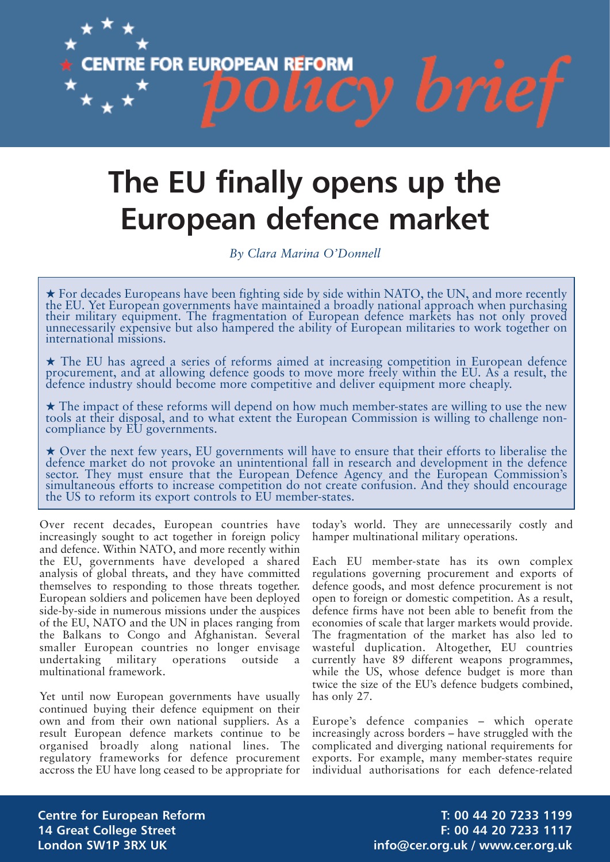

# **The EU finally opens up the European defence market**

*By Clara Marina O'Donnell*

**★ For decades Europeans have been fighting side by side within NATO, the UN, and more recently the EU. Yet European governments have maintained a broadly national approach when purchasing** their military equipment. The fragmentation of European defence markets has not only proved unnecessarily expensive but also hampered the ability of European militaries to work together on international missions.

**★ The EU has agreed a series of reforms aimed at increasing competition in European defence** procurement, and at allowing defence goods to move more freely within the EU. As a result, the defence industry should become more competitive and deliver equipment more cheaply.

**★ The impact of these reforms will depend on how much member-states are willing to use the new tools at their disposal, and to what extent the European Commission is willing to challenge non**compliance by EU governments.

★ Over the next few years, EU governments will have to ensure that their efforts to liberalise the defence market do not provoke an unintentional fall in research and development in the defence sector. They must ensure th simultaneous efforts to increase competition do not create confusion. And they should encourage the US to reform its export controls to EU member-states.

Over recent decades, European countries have increasingly sought to act together in foreign policy and defence. Within NATO, and more recently within the EU, governments have developed a shared analysis of global threats, and they have committed themselves to responding to those threats together. European soldiers and policemen have been deployed side-by-side in numerous missions under the auspices of the EU, NATO and the UN in places ranging from the Balkans to Congo and Afghanistan. Several smaller European countries no longer envisage undertaking military operations outside a multinational framework.

Yet until now European governments have usually continued buying their defence equipment on their own and from their own national suppliers. As a result European defence markets continue to be organised broadly along national lines. The regulatory frameworks for defence procurement accross the EU have long ceased to be appropriate for

today's world. They are unnecessarily costly and hamper multinational military operations.

Each EU member-state has its own complex regulations governing procurement and exports of defence goods, and most defence procurement is not open to foreign or domestic competition. As a result, defence firms have not been able to benefit from the economies of scale that larger markets would provide. The fragmentation of the market has also led to wasteful duplication. Altogether, EU countries currently have 89 different weapons programmes, while the US, whose defence budget is more than twice the size of the EU's defence budgets combined, has only 27.

Europe's defence companies – which operate increasingly across borders – have struggled with the complicated and diverging national requirements for exports. For example, many member-states require individual authorisations for each defence-related

**Centre for European Reform T: 00 44 20 7233 1199 14 Great College Street F: 00 44 20 7233 1117 London SW1P 3RX UK info@cer.org.uk / www.cer.org.uk**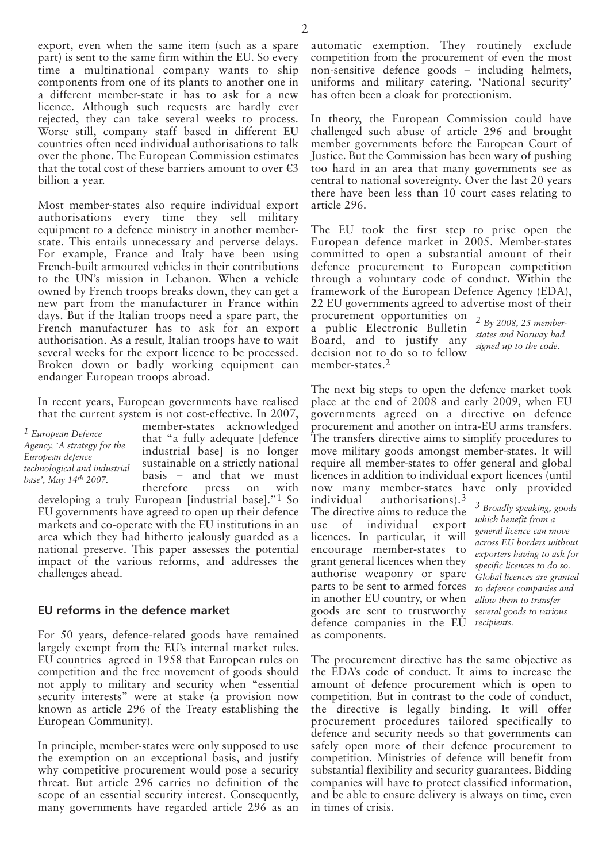export, even when the same item (such as a spare part) is sent to the same firm within the EU. So every time a multinational company wants to ship components from one of its plants to another one in a different member-state it has to ask for a new licence. Although such requests are hardly ever rejected, they can take several weeks to process. Worse still, company staff based in different EU countries often need individual authorisations to talk over the phone. The European Commission estimates that the total cost of these barriers amount to over  $\epsilon$ 3 billion a year.

Most member-states also require individual export authorisations every time they sell military equipment to a defence ministry in another memberstate. This entails unnecessary and perverse delays. For example, France and Italy have been using French-built armoured vehicles in their contributions to the UN's mission in Lebanon. When a vehicle owned by French troops breaks down, they can get a new part from the manufacturer in France within days. But if the Italian troops need a spare part, the French manufacturer has to ask for an export authorisation. As a result, Italian troops have to wait several weeks for the export licence to be processed. Broken down or badly working equipment can endanger European troops abroad.

In recent years, European governments have realised that the current system is not cost-effective. In 2007,

*1 European Defence Agency, 'A strategy for the European defence technological and industrial base', May 14th 2007.*

member-states acknowledged that "a fully adequate [defence industrial base] is no longer sustainable on a strictly national basis – and that we must therefore press on with

developing a truly European [industrial base]."1 So EU governments have agreed to open up their defence markets and co-operate with the EU institutions in an area which they had hitherto jealously guarded as a national preserve. This paper assesses the potential impact of the various reforms, and addresses the challenges ahead.

## **EU reforms in the defence market**

For 50 years, defence-related goods have remained largely exempt from the EU's internal market rules. EU countries agreed in 1958 that European rules on competition and the free movement of goods should not apply to military and security when "essential security interests" were at stake (a provision now known as article 296 of the Treaty establishing the European Community).

In principle, member-states were only supposed to use the exemption on an exceptional basis, and justify why competitive procurement would pose a security threat. But article 296 carries no definition of the scope of an essential security interest. Consequently, many governments have regarded article 296 as an automatic exemption. They routinely exclude competition from the procurement of even the most non-sensitive defence goods – including helmets, uniforms and military catering. 'National security' has often been a cloak for protectionism.

In theory, the European Commission could have challenged such abuse of article 296 and brought member governments before the European Court of Justice. But the Commission has been wary of pushing too hard in an area that many governments see as central to national sovereignty. Over the last 20 years there have been less than 10 court cases relating to article 296.

The EU took the first step to prise open the European defence market in 2005. Member-states committed to open a substantial amount of their defence procurement to European competition through a voluntary code of conduct. Within the framework of the European Defence Agency (EDA), 22 EU governments agreed to advertise most of their

procurement opportunities on a public Electronic Bulletin Board, and to justify any decision not to do so to fellow member-states.<sup>2</sup>

*2 By 2008, 25 memberstates and Norway had signed up to the code.*

The next big steps to open the defence market took place at the end of 2008 and early 2009, when EU governments agreed on a directive on defence procurement and another on intra-EU arms transfers. The transfers directive aims to simplify procedures to move military goods amongst member-states. It will require all member-states to offer general and global licences in addition to individual export licences (until now many member-states have only provided

individual authorisations).3 The directive aims to reduce the use of individual export licences. In particular, it will encourage member-states to grant general licences when they authorise weaponry or spare parts to be sent to armed forces in another EU country, or when goods are sent to trustworthy defence companies in the EU as components.

*3 Broadly speaking, goods which benefit from a general licence can move across EU borders without exporters having to ask for specific licences to do so. Global licences are granted to defence companies and allow them to transfer several goods to various recipients.*

The procurement directive has the same objective as the EDA's code of conduct. It aims to increase the amount of defence procurement which is open to competition. But in contrast to the code of conduct, the directive is legally binding. It will offer procurement procedures tailored specifically to defence and security needs so that governments can safely open more of their defence procurement to competition. Ministries of defence will benefit from substantial flexibility and security guarantees. Bidding companies will have to protect classified information, and be able to ensure delivery is always on time, even in times of crisis.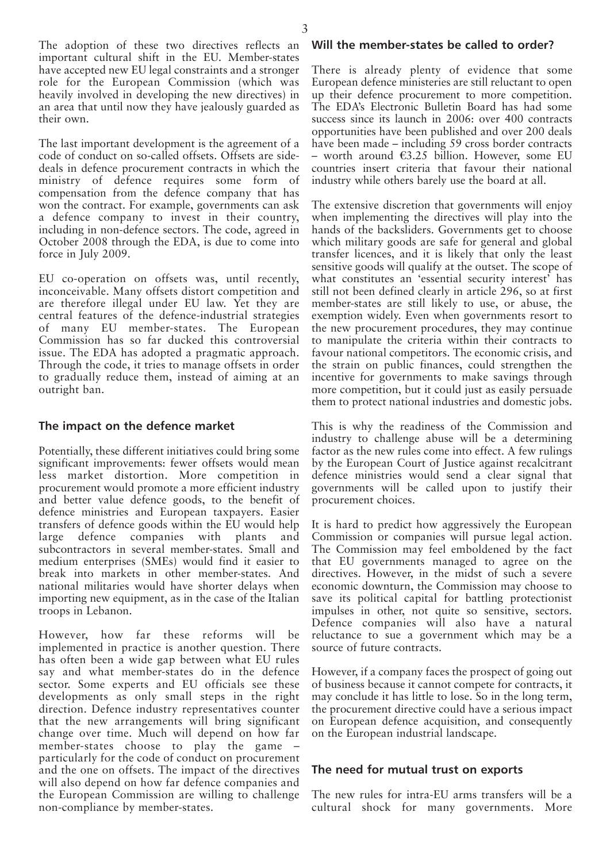The adoption of these two directives reflects an important cultural shift in the EU. Member-states have accepted new EU legal constraints and a stronger role for the European Commission (which was heavily involved in developing the new directives) in an area that until now they have jealously guarded as their own.

The last important development is the agreement of a code of conduct on so-called offsets. Offsets are sidedeals in defence procurement contracts in which the ministry of defence requires some form of compensation from the defence company that has won the contract. For example, governments can ask a defence company to invest in their country, including in non-defence sectors. The code, agreed in October 2008 through the EDA, is due to come into force in July 2009.

EU co-operation on offsets was, until recently, inconceivable. Many offsets distort competition and are therefore illegal under EU law. Yet they are central features of the defence-industrial strategies of many EU member-states. The European Commission has so far ducked this controversial issue. The EDA has adopted a pragmatic approach. Through the code, it tries to manage offsets in order to gradually reduce them, instead of aiming at an outright ban.

## **The impact on the defence market**

Potentially, these different initiatives could bring some significant improvements: fewer offsets would mean less market distortion. More competition in procurement would promote a more efficient industry and better value defence goods, to the benefit of defence ministries and European taxpayers. Easier transfers of defence goods within the EU would help large defence companies with plants and subcontractors in several member-states. Small and medium enterprises (SMEs) would find it easier to break into markets in other member-states. And national militaries would have shorter delays when importing new equipment, as in the case of the Italian troops in Lebanon.

However, how far these reforms will be implemented in practice is another question. There has often been a wide gap between what EU rules say and what member-states do in the defence sector. Some experts and EU officials see these developments as only small steps in the right direction. Defence industry representatives counter that the new arrangements will bring significant change over time. Much will depend on how far member-states choose to play the game particularly for the code of conduct on procurement and the one on offsets. The impact of the directives will also depend on how far defence companies and the European Commission are willing to challenge non-compliance by member-states.

#### **Will the member-states be called to order?**

There is already plenty of evidence that some European defence ministeries are still reluctant to open up their defence procurement to more competition. The EDA's Electronic Bulletin Board has had some success since its launch in 2006: over 400 contracts opportunities have been published and over 200 deals have been made – including 59 cross border contracts – worth around  $63.25$  billion. However, some EU countries insert criteria that favour their national industry while others barely use the board at all.

The extensive discretion that governments will enjoy when implementing the directives will play into the hands of the backsliders. Governments get to choose which military goods are safe for general and global transfer licences, and it is likely that only the least sensitive goods will qualify at the outset. The scope of what constitutes an 'essential security interest' has still not been defined clearly in article 296, so at first member-states are still likely to use, or abuse, the exemption widely. Even when governments resort to the new procurement procedures, they may continue to manipulate the criteria within their contracts to favour national competitors. The economic crisis, and the strain on public finances, could strengthen the incentive for governments to make savings through more competition, but it could just as easily persuade them to protect national industries and domestic jobs.

This is why the readiness of the Commission and industry to challenge abuse will be a determining factor as the new rules come into effect. A few rulings by the European Court of Justice against recalcitrant defence ministries would send a clear signal that governments will be called upon to justify their procurement choices.

It is hard to predict how aggressively the European Commission or companies will pursue legal action. The Commission may feel emboldened by the fact that EU governments managed to agree on the directives. However, in the midst of such a severe economic downturn, the Commission may choose to save its political capital for battling protectionist impulses in other, not quite so sensitive, sectors. Defence companies will also have a natural reluctance to sue a government which may be a source of future contracts.

However, if a company faces the prospect of going out of business because it cannot compete for contracts, it may conclude it has little to lose. So in the long term, the procurement directive could have a serious impact on European defence acquisition, and consequently on the European industrial landscape.

## **The need for mutual trust on exports**

The new rules for intra-EU arms transfers will be a cultural shock for many governments. More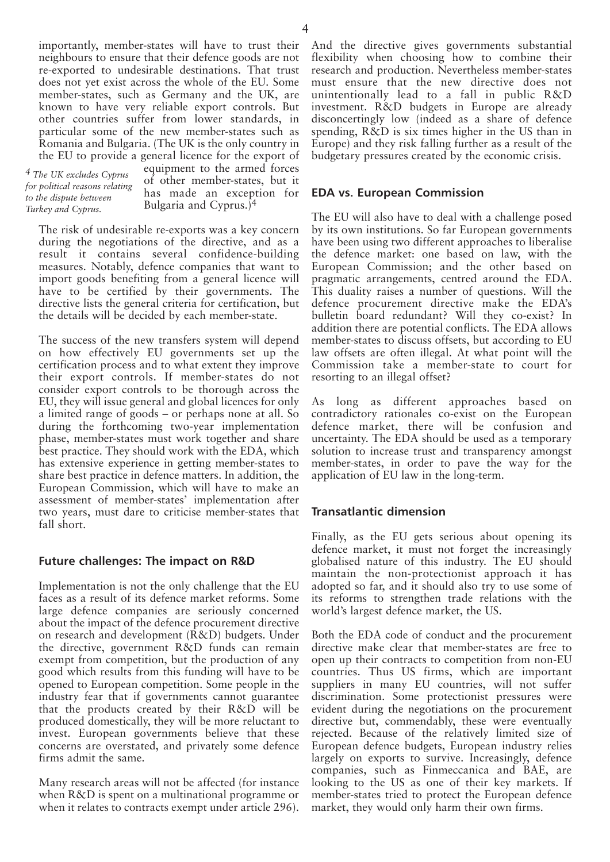importantly, member-states will have to trust their neighbours to ensure that their defence goods are not re-exported to undesirable destinations. That trust does not yet exist across the whole of the EU. Some member-states, such as Germany and the UK, are known to have very reliable export controls. But other countries suffer from lower standards, in particular some of the new member-states such as Romania and Bulgaria. (The UK is the only country in the EU to provide a general licence for the export of

*4 The UK excludes Cyprus for political reasons relating to the dispute between Turkey and Cyprus.*

equipment to the armed forces of other member-states, but it has made an exception for Bulgaria and Cyprus.)4

The risk of undesirable re-exports was a key concern during the negotiations of the directive, and as a result it contains several confidence-building measures. Notably, defence companies that want to import goods benefiting from a general licence will have to be certified by their governments. The directive lists the general criteria for certification, but the details will be decided by each member-state.

The success of the new transfers system will depend on how effectively EU governments set up the certification process and to what extent they improve their export controls. If member-states do not consider export controls to be thorough across the EU, they will issue general and global licences for only a limited range of goods – or perhaps none at all. So during the forthcoming two-year implementation phase, member-states must work together and share best practice. They should work with the EDA, which has extensive experience in getting member-states to share best practice in defence matters. In addition, the European Commission, which will have to make an assessment of member-states' implementation after two years, must dare to criticise member-states that fall short.

# **Future challenges: The impact on R&D**

Implementation is not the only challenge that the EU faces as a result of its defence market reforms. Some large defence companies are seriously concerned about the impact of the defence procurement directive on research and development (R&D) budgets. Under the directive, government R&D funds can remain exempt from competition, but the production of any good which results from this funding will have to be opened to European competition. Some people in the industry fear that if governments cannot guarantee that the products created by their R&D will be produced domestically, they will be more reluctant to invest. European governments believe that these concerns are overstated, and privately some defence firms admit the same.

Many research areas will not be affected (for instance when R&D is spent on a multinational programme or when it relates to contracts exempt under article 296).

And the directive gives governments substantial flexibility when choosing how to combine their research and production. Nevertheless member-states must ensure that the new directive does not unintentionally lead to a fall in public R&D investment. R&D budgets in Europe are already disconcertingly low (indeed as a share of defence spending, R&D is six times higher in the US than in Europe) and they risk falling further as a result of the budgetary pressures created by the economic crisis.

## **EDA vs. European Commission**

The EU will also have to deal with a challenge posed by its own institutions. So far European governments have been using two different approaches to liberalise the defence market: one based on law, with the European Commission; and the other based on pragmatic arrangements, centred around the EDA. This duality raises a number of questions. Will the defence procurement directive make the EDA's bulletin board redundant? Will they co-exist? In addition there are potential conflicts. The EDA allows member-states to discuss offsets, but according to EU law offsets are often illegal. At what point will the Commission take a member-state to court for resorting to an illegal offset?

As long as different approaches based on contradictory rationales co-exist on the European defence market, there will be confusion and uncertainty. The EDA should be used as a temporary solution to increase trust and transparency amongst member-states, in order to pave the way for the application of EU law in the long-term.

## **Transatlantic dimension**

Finally, as the EU gets serious about opening its defence market, it must not forget the increasingly globalised nature of this industry. The EU should maintain the non-protectionist approach it has adopted so far, and it should also try to use some of its reforms to strengthen trade relations with the world's largest defence market, the US.

Both the EDA code of conduct and the procurement directive make clear that member-states are free to open up their contracts to competition from non-EU countries. Thus US firms, which are important suppliers in many EU countries, will not suffer discrimination. Some protectionist pressures were evident during the negotiations on the procurement directive but, commendably, these were eventually rejected. Because of the relatively limited size of European defence budgets, European industry relies largely on exports to survive. Increasingly, defence companies, such as Finmeccanica and BAE, are looking to the US as one of their key markets. If member-states tried to protect the European defence market, they would only harm their own firms.